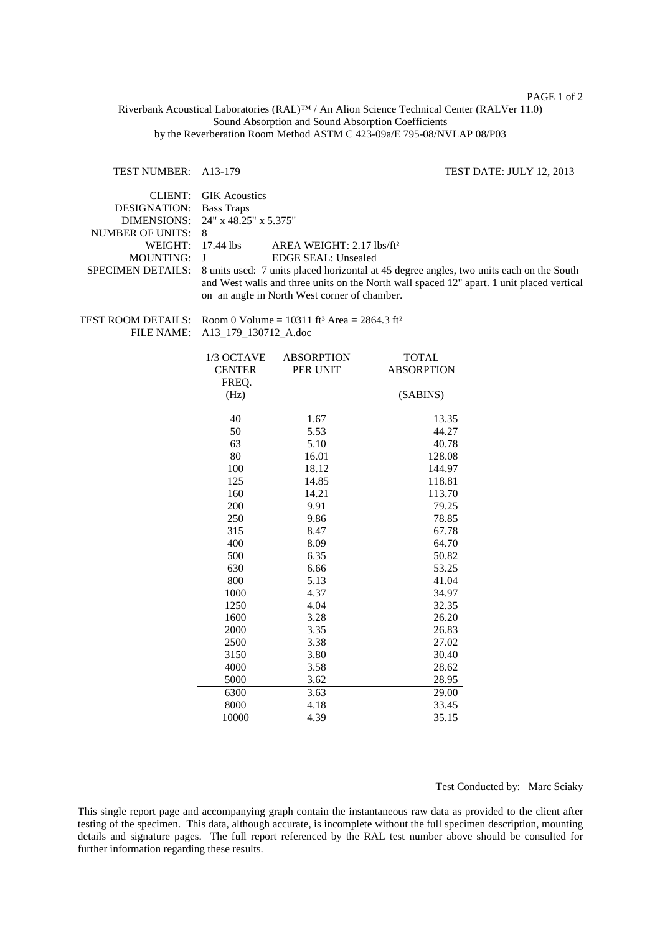## PAGE 1 of 2

Riverbank Acoustical Laboratories (RAL)™ / An Alion Science Technical Center (RALVer 11.0) Sound Absorption and Sound Absorption Coefficients by the Reverberation Room Method ASTM C 423-09a/E 795-08/NVLAP 08/P03

## TEST NUMBER: A13-179 TEST DATE: JULY 12, 2013

| CLIENT:<br>DESIGNATION:<br><b>DIMENSIONS:</b><br><b>NUMBER OF UNITS:</b><br>WEIGHT:<br><b>MOUNTING:</b><br>SPECIMEN DETAILS: | <b>GIK</b> Acoustics<br><b>Bass Traps</b><br>24" x 48.25" x 5.375"<br>8<br>17.44 lbs<br>AREA WEIGHT: $2.17$ lbs/ft <sup>2</sup><br>J<br><b>EDGE SEAL: Unsealed</b><br>8 units used: 7 units placed horizontal at 45 degree angles, two units each on the South<br>and West walls and three units on the North wall spaced 12" apart. 1 unit placed vertical<br>on an angle in North West corner of chamber. |                                 |                                     |  |
|------------------------------------------------------------------------------------------------------------------------------|-------------------------------------------------------------------------------------------------------------------------------------------------------------------------------------------------------------------------------------------------------------------------------------------------------------------------------------------------------------------------------------------------------------|---------------------------------|-------------------------------------|--|
| TEST ROOM DETAILS:<br><b>FILE NAME:</b>                                                                                      | Room 0 Volume = 10311 ft <sup>3</sup> Area = 2864.3 ft <sup>2</sup><br>A13_179_130712_A.doc                                                                                                                                                                                                                                                                                                                 |                                 |                                     |  |
|                                                                                                                              | 1/3 OCTAVE<br><b>CENTER</b><br>FREQ.                                                                                                                                                                                                                                                                                                                                                                        | <b>ABSORPTION</b><br>PER UNIT   | <b>TOTAL</b><br><b>ABSORPTION</b>   |  |
|                                                                                                                              | (Hz)                                                                                                                                                                                                                                                                                                                                                                                                        |                                 | (SABINS)                            |  |
|                                                                                                                              | 40<br>50<br>63<br>80                                                                                                                                                                                                                                                                                                                                                                                        | 1.67<br>5.53<br>5.10<br>16.01   | 13.35<br>44.27<br>40.78<br>128.08   |  |
|                                                                                                                              | 100<br>125<br>160<br>200                                                                                                                                                                                                                                                                                                                                                                                    | 18.12<br>14.85<br>14.21<br>9.91 | 144.97<br>118.81<br>113.70<br>79.25 |  |
|                                                                                                                              | 250<br>315<br>400<br>500                                                                                                                                                                                                                                                                                                                                                                                    | 9.86<br>8.47<br>8.09<br>6.35    | 78.85<br>67.78<br>64.70<br>50.82    |  |
|                                                                                                                              | 630<br>800<br>1000<br>1250                                                                                                                                                                                                                                                                                                                                                                                  | 6.66<br>5.13<br>4.37<br>4.04    | 53.25<br>41.04<br>34.97<br>32.35    |  |
|                                                                                                                              | 1600<br>2000<br>2500                                                                                                                                                                                                                                                                                                                                                                                        | 3.28<br>3.35<br>3.38            | 26.20<br>26.83<br>27.02             |  |
|                                                                                                                              | 3150<br>4000<br>5000                                                                                                                                                                                                                                                                                                                                                                                        | 3.80<br>3.58<br>3.62            | 30.40<br>28.62<br>28.95             |  |
|                                                                                                                              | 6300<br>8000<br>10000                                                                                                                                                                                                                                                                                                                                                                                       | 3.63<br>4.18<br>4.39            | 29.00<br>33.45<br>35.15             |  |

Test Conducted by: Marc Sciaky

This single report page and accompanying graph contain the instantaneous raw data as provided to the client after testing of the specimen. This data, although accurate, is incomplete without the full specimen description, mounting details and signature pages. The full report referenced by the RAL test number above should be consulted for further information regarding these results.